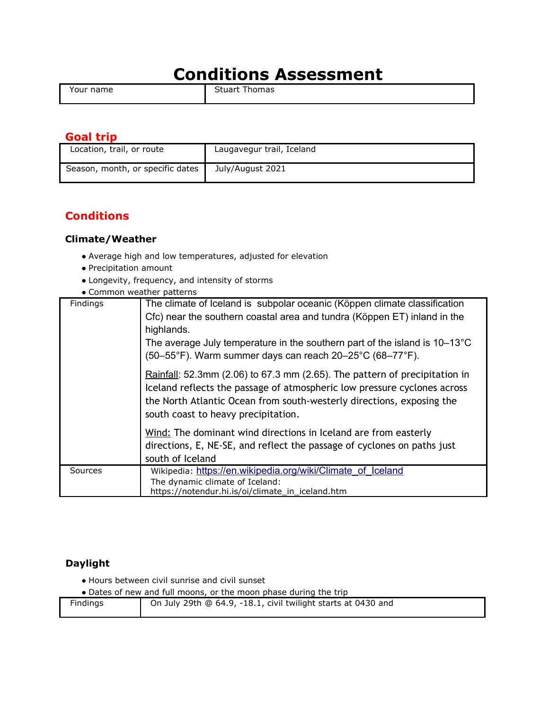# **Conditions Assessment**

Your name Stuart Thomas

# **Goal trip**

| Location, trail, or route        | Laugavegur trail, Iceland |
|----------------------------------|---------------------------|
| Season, month, or specific dates | July/August 2021          |

# **Conditions**

## **Climate/Weather**

- Average high and low temperatures, adjusted for elevation
- Precipitation amount
- Longevity, frequency, and intensity of storms
- Common weather patterns

| Findings | The climate of Iceland is subpolar oceanic (Köppen climate classification<br>Cfc) near the southern coastal area and tundra (Köppen ET) inland in the<br>highlands.                                                                                                    |
|----------|------------------------------------------------------------------------------------------------------------------------------------------------------------------------------------------------------------------------------------------------------------------------|
|          | The average July temperature in the southern part of the island is $10-13^{\circ}$ C<br>(50–55°F). Warm summer days can reach 20–25°C (68–77°F).                                                                                                                       |
|          | Rainfall: 52.3mm (2.06) to 67.3 mm (2.65). The pattern of precipitation in<br>Iceland reflects the passage of atmospheric low pressure cyclones across<br>the North Atlantic Ocean from south-westerly directions, exposing the<br>south coast to heavy precipitation. |
|          | Wind: The dominant wind directions in Iceland are from easterly                                                                                                                                                                                                        |
|          | directions, E, NE-SE, and reflect the passage of cyclones on paths just<br>south of Iceland                                                                                                                                                                            |
| Sources  | Wikipedia: https://en.wikipedia.org/wiki/Climate of Iceland<br>The dynamic climate of Iceland:<br>https://notendur.hi.is/oi/climate_in_iceland.htm                                                                                                                     |

# **Daylight**

● Hours between civil sunrise and civil sunset

• Dates of new and full moons, or the moon phase during the trip

| On July 29th @ 64.9, -18.1, civil twilight starts at 0430 and<br>Findings |
|---------------------------------------------------------------------------|
|                                                                           |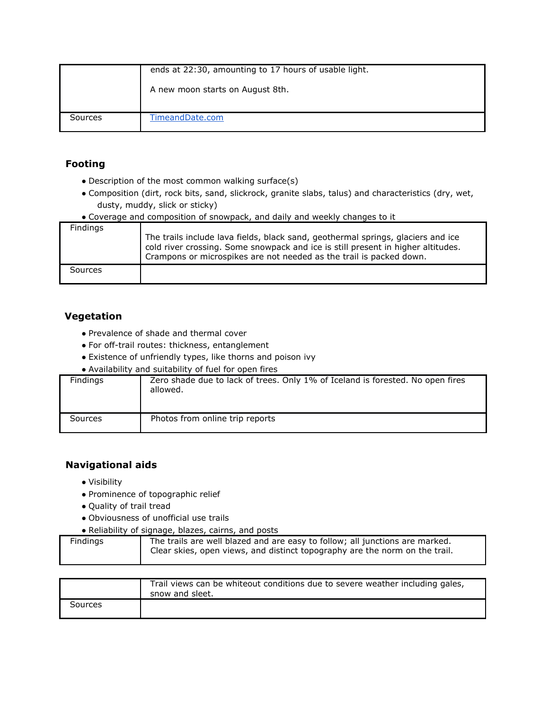|         | ends at 22:30, amounting to 17 hours of usable light. |
|---------|-------------------------------------------------------|
|         | A new moon starts on August 8th.                      |
| Sources | TimeandDate.com                                       |

# **Footing**

- Description of the most common walking surface(s)
- Composition (dirt, rock bits, sand, slickrock, granite slabs, talus) and characteristics (dry, wet, dusty, muddy, slick or sticky)

| • Coverage and composition of snowpack, and daily and weekly changes to it |                                                                                                                                                                                                                                             |
|----------------------------------------------------------------------------|---------------------------------------------------------------------------------------------------------------------------------------------------------------------------------------------------------------------------------------------|
| Findings                                                                   |                                                                                                                                                                                                                                             |
|                                                                            | The trails include lava fields, black sand, geothermal springs, glaciers and ice<br>cold river crossing. Some snowpack and ice is still present in higher altitudes.<br>Crampons or microspikes are not needed as the trail is packed down. |
| Sources                                                                    |                                                                                                                                                                                                                                             |

# **Vegetation**

- Prevalence of shade and thermal cover
- For off-trail routes: thickness, entanglement
- Existence of unfriendly types, like thorns and poison ivy
- Availability and suitability of fuel for open fires

| Findings | Zero shade due to lack of trees. Only 1% of Iceland is forested. No open fires<br>allowed. |
|----------|--------------------------------------------------------------------------------------------|
| Sources  | Photos from online trip reports                                                            |

# **Navigational aids**

- Visibility
- Prominence of topographic relief
- Quality of trail tread
- Obviousness of unofficial use trails
- Reliability of signage, blazes, cairns, and posts

| The trails are well blazed and are easy to follow; all junctions are marked.<br>Findings<br>Clear skies, open views, and distinct topography are the norm on the trail. |
|-------------------------------------------------------------------------------------------------------------------------------------------------------------------------|
|-------------------------------------------------------------------------------------------------------------------------------------------------------------------------|

|         | Trail views can be whiteout conditions due to severe weather including gales,<br>snow and sleet. |
|---------|--------------------------------------------------------------------------------------------------|
| Sources |                                                                                                  |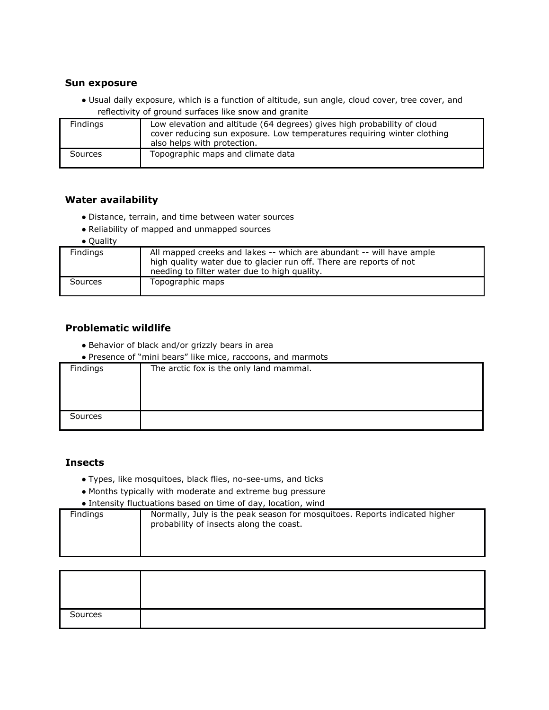#### **Sun exposure**

● Usual daily exposure, which is a function of altitude, sun angle, cloud cover, tree cover, and reflectivity of ground surfaces like snow and granite

| Findings | Low elevation and altitude (64 degrees) gives high probability of cloud<br>cover reducing sun exposure. Low temperatures requiring winter clothing<br>also helps with protection. |
|----------|-----------------------------------------------------------------------------------------------------------------------------------------------------------------------------------|
| Sources  | Topographic maps and climate data                                                                                                                                                 |

#### **Water availability**

- Distance, terrain, and time between water sources
- Reliability of mapped and unmapped sources
- Quality

| - - - - - - - - |                                                                                                                                                                                             |
|-----------------|---------------------------------------------------------------------------------------------------------------------------------------------------------------------------------------------|
| <b>Findings</b> | All mapped creeks and lakes -- which are abundant -- will have ample<br>high quality water due to glacier run off. There are reports of not<br>needing to filter water due to high quality. |
| Sources         | Topographic maps                                                                                                                                                                            |

#### **Problematic wildlife**

- Behavior of black and/or grizzly bears in area
- Presence of "mini bears" like mice, raccoons, and marmots

| Findings | The arctic fox is the only land mammal. |
|----------|-----------------------------------------|
|          |                                         |
|          |                                         |
|          |                                         |
| Sources  |                                         |

#### **Insects**

- Types, like mosquitoes, black flies, no-see-ums, and ticks
- Months typically with moderate and extreme bug pressure
- Intensity fluctuations based on time of day, location, wind

| Findings | Normally, July is the peak season for mosquitoes. Reports indicated higher<br>probability of insects along the coast. |
|----------|-----------------------------------------------------------------------------------------------------------------------|
|----------|-----------------------------------------------------------------------------------------------------------------------|

| Sources |  |
|---------|--|
|         |  |